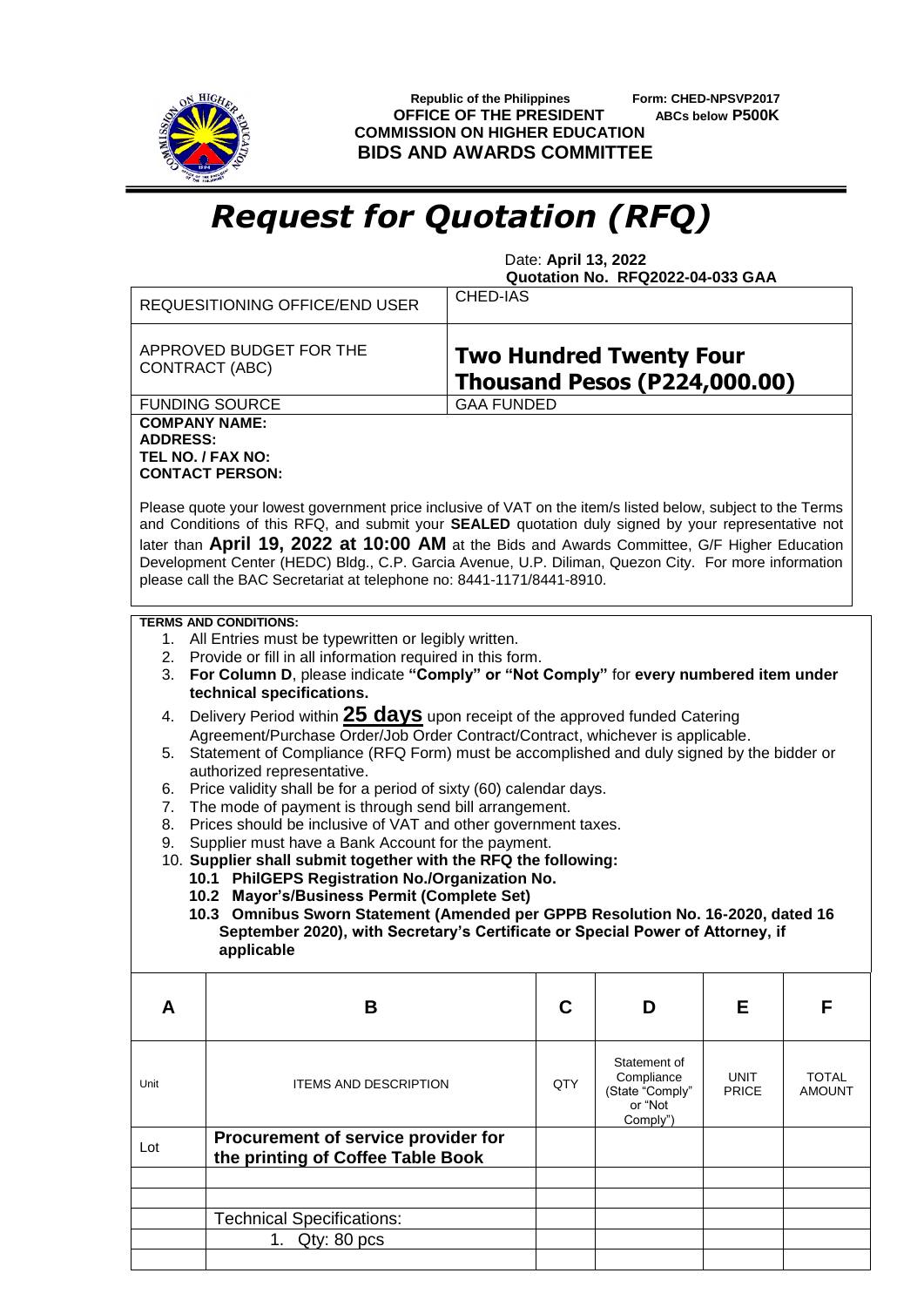

 **Republic of the Philippines Form: CHED-NPSVP2017 OFFICE OF THE PRESIDENT ABCs below P500K COMMISSION ON HIGHER EDUCATION BIDS AND AWARDS COMMITTEE**

## *Request for Quotation (RFQ)*

 Date: **April 13, 2022 Quotation No. RFQ2022-04-033 GAA**

|                                                                                                                                                                                                                                                                                                                                                                                                                                                                                                                                                                                               | <b>REQUESITIONING OFFICE/END USER</b>                                    | <b>CHED-IAS</b>                                                       |                               |                             |                               |  |  |
|-----------------------------------------------------------------------------------------------------------------------------------------------------------------------------------------------------------------------------------------------------------------------------------------------------------------------------------------------------------------------------------------------------------------------------------------------------------------------------------------------------------------------------------------------------------------------------------------------|--------------------------------------------------------------------------|-----------------------------------------------------------------------|-------------------------------|-----------------------------|-------------------------------|--|--|
| APPROVED BUDGET FOR THE<br>CONTRACT (ABC)                                                                                                                                                                                                                                                                                                                                                                                                                                                                                                                                                     |                                                                          | <b>Two Hundred Twenty Four</b><br><b>Thousand Pesos (P224,000.00)</b> |                               |                             |                               |  |  |
|                                                                                                                                                                                                                                                                                                                                                                                                                                                                                                                                                                                               | <b>FUNDING SOURCE</b>                                                    | <b>GAA FUNDED</b>                                                     |                               |                             |                               |  |  |
| <b>COMPANY NAME:</b><br><b>ADDRESS:</b><br>TEL NO. / FAX NO:<br><b>CONTACT PERSON:</b><br>Please quote your lowest government price inclusive of VAT on the item/s listed below, subject to the Terms<br>and Conditions of this RFQ, and submit your SEALED quotation duly signed by your representative not<br>later than April 19, 2022 at 10:00 AM at the Bids and Awards Committee, G/F Higher Education<br>Development Center (HEDC) Bldg., C.P. Garcia Avenue, U.P. Diliman, Quezon City. For more information<br>please call the BAC Secretariat at telephone no: 8441-1171/8441-8910. |                                                                          |                                                                       |                               |                             |                               |  |  |
|                                                                                                                                                                                                                                                                                                                                                                                                                                                                                                                                                                                               | <b>TERMS AND CONDITIONS:</b>                                             |                                                                       |                               |                             |                               |  |  |
| 1. All Entries must be typewritten or legibly written.<br>2. Provide or fill in all information required in this form.<br>For Column D, please indicate "Comply" or "Not Comply" for every numbered item under<br>3.<br>technical specifications.                                                                                                                                                                                                                                                                                                                                             |                                                                          |                                                                       |                               |                             |                               |  |  |
| Delivery Period within 25 days upon receipt of the approved funded Catering<br>4.                                                                                                                                                                                                                                                                                                                                                                                                                                                                                                             |                                                                          |                                                                       |                               |                             |                               |  |  |
| Agreement/Purchase Order/Job Order Contract/Contract, whichever is applicable.<br>Statement of Compliance (RFQ Form) must be accomplished and duly signed by the bidder or<br>5.                                                                                                                                                                                                                                                                                                                                                                                                              |                                                                          |                                                                       |                               |                             |                               |  |  |
| authorized representative.<br>Price validity shall be for a period of sixty (60) calendar days.<br>6.                                                                                                                                                                                                                                                                                                                                                                                                                                                                                         |                                                                          |                                                                       |                               |                             |                               |  |  |
| The mode of payment is through send bill arrangement.<br>7.                                                                                                                                                                                                                                                                                                                                                                                                                                                                                                                                   |                                                                          |                                                                       |                               |                             |                               |  |  |
| Prices should be inclusive of VAT and other government taxes.<br>8.<br>Supplier must have a Bank Account for the payment.<br>9.                                                                                                                                                                                                                                                                                                                                                                                                                                                               |                                                                          |                                                                       |                               |                             |                               |  |  |
| 10. Supplier shall submit together with the RFQ the following:                                                                                                                                                                                                                                                                                                                                                                                                                                                                                                                                |                                                                          |                                                                       |                               |                             |                               |  |  |
| 10.1 PhilGEPS Registration No./Organization No.<br>10.2 Mayor's/Business Permit (Complete Set)                                                                                                                                                                                                                                                                                                                                                                                                                                                                                                |                                                                          |                                                                       |                               |                             |                               |  |  |
| 10.3 Omnibus Sworn Statement (Amended per GPPB Resolution No. 16-2020, dated 16<br>September 2020), with Secretary's Certificate or Special Power of Attorney, if                                                                                                                                                                                                                                                                                                                                                                                                                             |                                                                          |                                                                       |                               |                             |                               |  |  |
| applicable                                                                                                                                                                                                                                                                                                                                                                                                                                                                                                                                                                                    |                                                                          |                                                                       |                               |                             |                               |  |  |
| A                                                                                                                                                                                                                                                                                                                                                                                                                                                                                                                                                                                             | B                                                                        | C                                                                     | D                             | Е                           | F                             |  |  |
|                                                                                                                                                                                                                                                                                                                                                                                                                                                                                                                                                                                               |                                                                          |                                                                       | Statement of                  |                             |                               |  |  |
| Unit                                                                                                                                                                                                                                                                                                                                                                                                                                                                                                                                                                                          | <b>ITEMS AND DESCRIPTION</b>                                             | QTY                                                                   | Compliance<br>(State "Comply" | <b>UNIT</b><br><b>PRICE</b> | <b>TOTAL</b><br><b>AMOUNT</b> |  |  |
|                                                                                                                                                                                                                                                                                                                                                                                                                                                                                                                                                                                               |                                                                          |                                                                       | or "Not<br>Comply")           |                             |                               |  |  |
| Lot                                                                                                                                                                                                                                                                                                                                                                                                                                                                                                                                                                                           | Procurement of service provider for<br>the printing of Coffee Table Book |                                                                       |                               |                             |                               |  |  |
|                                                                                                                                                                                                                                                                                                                                                                                                                                                                                                                                                                                               |                                                                          |                                                                       |                               |                             |                               |  |  |
|                                                                                                                                                                                                                                                                                                                                                                                                                                                                                                                                                                                               | <b>Technical Specifications:</b>                                         |                                                                       |                               |                             |                               |  |  |
|                                                                                                                                                                                                                                                                                                                                                                                                                                                                                                                                                                                               | 1. Qty: 80 pcs                                                           |                                                                       |                               |                             |                               |  |  |
|                                                                                                                                                                                                                                                                                                                                                                                                                                                                                                                                                                                               |                                                                          |                                                                       |                               |                             |                               |  |  |